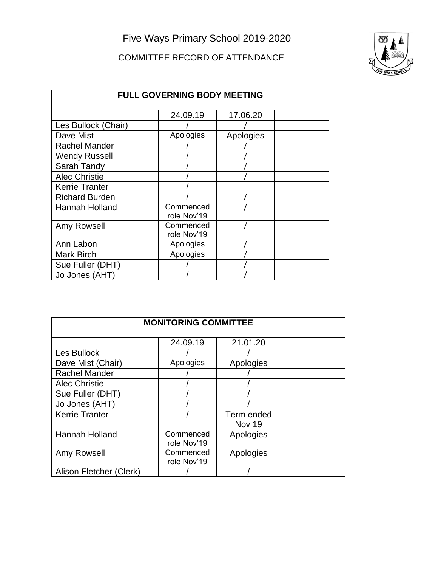Five Ways Primary School 2019-2020

## COMMITTEE RECORD OF ATTENDANCE



| <b>FULL GOVERNING BODY MEETING</b> |                          |           |  |
|------------------------------------|--------------------------|-----------|--|
|                                    | 24.09.19                 | 17.06.20  |  |
| Les Bullock (Chair)                |                          |           |  |
| Dave Mist                          | Apologies                | Apologies |  |
| <b>Rachel Mander</b>               |                          |           |  |
| <b>Wendy Russell</b>               |                          |           |  |
| Sarah Tandy                        |                          |           |  |
| <b>Alec Christie</b>               |                          |           |  |
| <b>Kerrie Tranter</b>              |                          |           |  |
| <b>Richard Burden</b>              |                          |           |  |
| <b>Hannah Holland</b>              | Commenced<br>role Nov'19 |           |  |
| Amy Rowsell                        | Commenced<br>role Nov'19 |           |  |
| Ann Labon                          | Apologies                |           |  |
| Mark Birch                         | Apologies                |           |  |
| Sue Fuller (DHT)                   |                          |           |  |
| Jo Jones (AHT)                     |                          |           |  |

| <b>MONITORING COMMITTEE</b> |             |            |  |
|-----------------------------|-------------|------------|--|
|                             | 24.09.19    | 21.01.20   |  |
| Les Bullock                 |             |            |  |
| Dave Mist (Chair)           | Apologies   | Apologies  |  |
| <b>Rachel Mander</b>        |             |            |  |
| <b>Alec Christie</b>        |             |            |  |
| Sue Fuller (DHT)            |             |            |  |
| Jo Jones (AHT)              |             |            |  |
| <b>Kerrie Tranter</b>       |             | Term ended |  |
|                             |             | Nov 19     |  |
| Hannah Holland              | Commenced   | Apologies  |  |
|                             | role Nov'19 |            |  |
| Amy Rowsell                 | Commenced   | Apologies  |  |
|                             | role Nov'19 |            |  |
| Alison Fletcher (Clerk)     |             |            |  |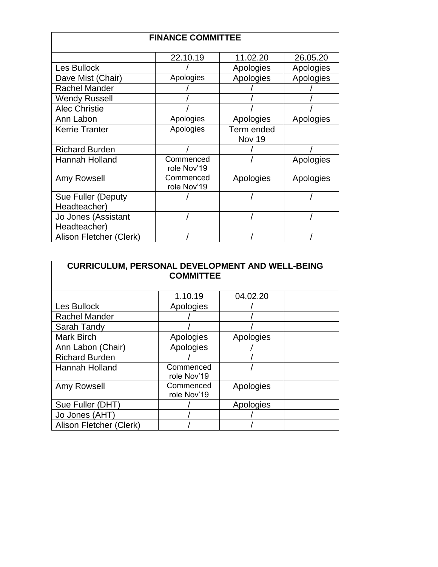| <b>FINANCE COMMITTEE</b> |             |               |           |
|--------------------------|-------------|---------------|-----------|
|                          | 22.10.19    | 11.02.20      | 26.05.20  |
| Les Bullock              |             | Apologies     | Apologies |
| Dave Mist (Chair)        | Apologies   | Apologies     | Apologies |
| <b>Rachel Mander</b>     |             |               |           |
| Wendy Russell            |             |               |           |
| <b>Alec Christie</b>     |             |               |           |
| Ann Labon                | Apologies   | Apologies     | Apologies |
| <b>Kerrie Tranter</b>    | Apologies   | Term ended    |           |
|                          |             | <b>Nov 19</b> |           |
| <b>Richard Burden</b>    |             |               |           |
| <b>Hannah Holland</b>    | Commenced   |               | Apologies |
|                          | role Nov'19 |               |           |
| Amy Rowsell              | Commenced   | Apologies     | Apologies |
|                          | role Nov'19 |               |           |
| Sue Fuller (Deputy       |             |               |           |
| Headteacher)             |             |               |           |
| Jo Jones (Assistant      |             |               |           |
| Headteacher)             |             |               |           |
| Alison Fletcher (Clerk)  |             |               |           |

| <b>CURRICULUM, PERSONAL DEVELOPMENT AND WELL-BEING</b><br><b>COMMITTEE</b> |                          |           |  |
|----------------------------------------------------------------------------|--------------------------|-----------|--|
|                                                                            | 1.10.19                  | 04.02.20  |  |
| Les Bullock                                                                | Apologies                |           |  |
| <b>Rachel Mander</b>                                                       |                          |           |  |
| Sarah Tandy                                                                |                          |           |  |
| <b>Mark Birch</b>                                                          | Apologies                | Apologies |  |
| Ann Labon (Chair)                                                          | Apologies                |           |  |
| <b>Richard Burden</b>                                                      |                          |           |  |
| Hannah Holland                                                             | Commenced<br>role Nov'19 |           |  |
| Amy Rowsell                                                                | Commenced<br>role Nov'19 | Apologies |  |
| Sue Fuller (DHT)                                                           |                          | Apologies |  |
| Jo Jones (AHT)                                                             |                          |           |  |
| Alison Fletcher (Clerk)                                                    |                          |           |  |